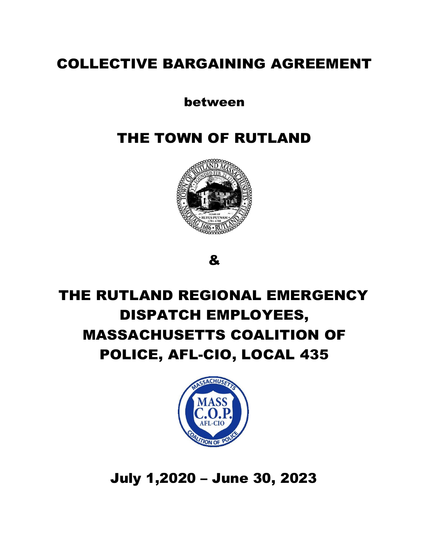# COLLECTIVE BARGAINING AGREEMENT

## between

# THE TOWN OF RUTLAND



&

# THE RUTLAND REGIONAL EMERGENCY DISPATCH EMPLOYEES, MASSACHUSETTS COALITION OF POLICE, AFL-CIO, LOCAL 435



July 1,2020 – June 30, 2023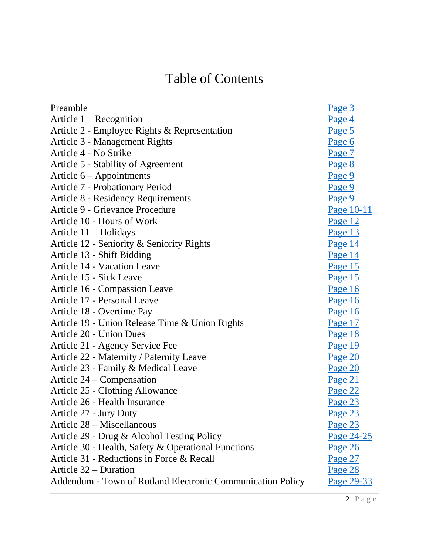# Table of Contents

| Page 3         |
|----------------|
| Page 4         |
| Page 5         |
| Page 6         |
| Page 7         |
| Page 8         |
| Page 9         |
| Page 9         |
| Page 9         |
| Page 10-11     |
| Page 12        |
| Page 13        |
| Page 14        |
| Page 14        |
| Page 15        |
| Page 15        |
| Page 16        |
| Page 16        |
| Page 16        |
| Page 17        |
| Page 18        |
| Page 19        |
| Page 20        |
| Page 20        |
| Page 21        |
| Page 22        |
| Page 23        |
| Page 23        |
| Page 23        |
| Page 24-25     |
| Page 26        |
| <u>Page 27</u> |
| Page 28        |
| Page 29-33     |
|                |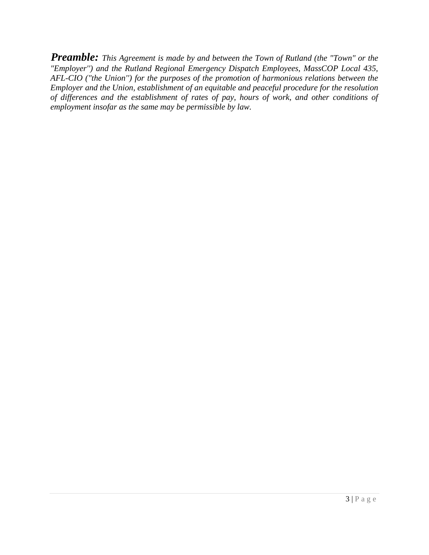<span id="page-2-0"></span>*Preamble: This Agreement is made by and between the Town of Rutland (the "Town" or the "Employer'') and the Rutland Regional Emergency Dispatch Employees, MassCOP Local 435, AFL-CIO ("the Union'') for the purposes of the promotion of harmonious relations between the Employer and the Union, establishment of an equitable and peaceful procedure for the resolution of differences and the establishment of rates of pay, hours of work, and other conditions of employment insofar as the same may be permissible by law.*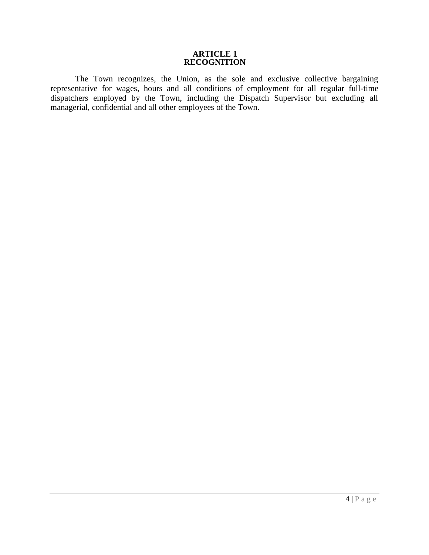#### **ARTICLE 1 RECOGNITION**

<span id="page-3-0"></span>The Town recognizes, the Union, as the sole and exclusive collective bargaining representative for wages, hours and all conditions of employment for all regular full-time dispatchers employed by the Town, including the Dispatch Supervisor but excluding all managerial, confidential and all other employees of the Town.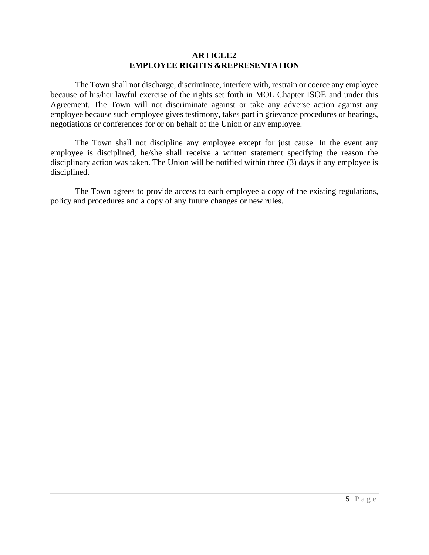#### **ARTICLE2 EMPLOYEE RIGHTS &REPRESENTATION**

<span id="page-4-0"></span>The Town shall not discharge, discriminate, interfere with, restrain or coerce any employee because of his/her lawful exercise of the rights set forth in MOL Chapter ISOE and under this Agreement. The Town will not discriminate against or take any adverse action against any employee because such employee gives testimony, takes part in grievance procedures or hearings, negotiations or conferences for or on behalf of the Union or any employee.

The Town shall not discipline any employee except for just cause. In the event any employee is disciplined, he/she shall receive a written statement specifying the reason the disciplinary action was taken. The Union will be notified within three (3) days if any employee is disciplined.

The Town agrees to provide access to each employee a copy of the existing regulations, policy and procedures and a copy of any future changes or new rules.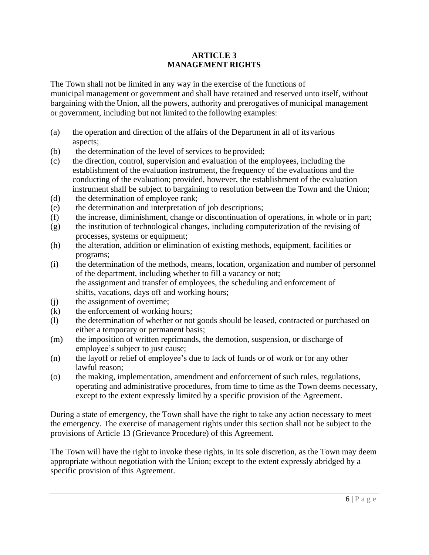#### **ARTICLE 3 MANAGEMENT RIGHTS**

<span id="page-5-0"></span>The Town shall not be limited in any way in the exercise of the functions of municipal management or government and shall have retained and reserved unto itself, without bargaining with the Union, all the powers, authority and prerogatives of municipal management or government, including but not limited to the following examples:

- (a) the operation and direction of the affairs of the Department in all of itsvarious aspects;
- (b) the determination of the level of services to be provided;
- (c) the direction, control, supervision and evaluation of the employees, including the establishment of the evaluation instrument, the frequency of the evaluations and the conducting of the evaluation; provided, however, the establishment of the evaluation instrument shall be subject to bargaining to resolution between the Town and the Union;
- (d) the determination of employee rank;
- (e) the determination and interpretation of job descriptions;
- (f) the increase, diminishment, change or discontinuation of operations, in whole or in part;
- (g) the institution of technological changes, including computerization of the revising of processes, systems or equipment;
- (h) the alteration, addition or elimination of existing methods, equipment, facilities or programs;
- (i) the determination of the methods, means, location, organization and number of personnel of the department, including whether to fill a vacancy or not; the assignment and transfer of employees, the scheduling and enforcement of shifts, vacations, days off and working hours;
- (j) the assignment of overtime;
- (k) the enforcement of working hours;
- (l) the determination of whether or not goods should be leased, contracted or purchased on either a temporary or permanent basis;
- (m) the imposition of written reprimands, the demotion, suspension, or discharge of employee's subject to just cause;
- (n) the layoff or relief of employee's due to lack of funds or of work or for any other lawful reason;
- (o) the making, implementation, amendment and enforcement of such rules, regulations, operating and administrative procedures, from time to time as the Town deems necessary, except to the extent expressly limited by a specific provision of the Agreement.

During a state of emergency, the Town shall have the right to take any action necessary to meet the emergency. The exercise of management rights under this section shall not be subject to the provisions of Article 13 (Grievance Procedure) of this Agreement.

The Town will have the right to invoke these rights, in its sole discretion, as the Town may deem appropriate without negotiation with the Union; except to the extent expressly abridged by a specific provision of this Agreement.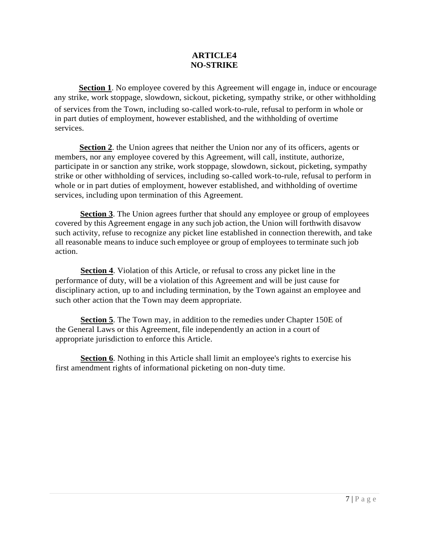#### **ARTICLE4 NO-STRIKE**

<span id="page-6-0"></span>**Section 1**. No employee covered by this Agreement will engage in, induce or encourage any strike, work stoppage, slowdown, sickout, picketing, sympathy strike, or other withholding of services from the Town, including so-called work-to-rule, refusal to perform in whole or in part duties of employment, however established, and the withholding of overtime services.

**Section 2**. the Union agrees that neither the Union nor any of its officers, agents or members, nor any employee covered by this Agreement, will call, institute, authorize, participate in or sanction any strike, work stoppage, slowdown, sickout, picketing, sympathy strike or other withholding of services, including so-called work-to-rule, refusal to perform in whole or in part duties of employment, however established, and withholding of overtime services, including upon termination of this Agreement.

**Section 3**. The Union agrees further that should any employee or group of employees covered by this Agreement engage in any such job action, the Union will forthwith disavow such activity, refuse to recognize any picket line established in connection therewith, and take all reasonable means to induce such employee or group of employees to terminate such job action.

**Section 4**. Violation of this Article, or refusal to cross any picket line in the performance of duty, will be a violation of this Agreement and will be just cause for disciplinary action, up to and including termination, by the Town against an employee and such other action that the Town may deem appropriate.

**Section 5**. The Town may, in addition to the remedies under Chapter 150E of the General Laws or this Agreement, file independently an action in a court of appropriate jurisdiction to enforce this Article.

**Section 6**. Nothing in this Article shall limit an employee's rights to exercise his first amendment rights of informational picketing on non-duty time.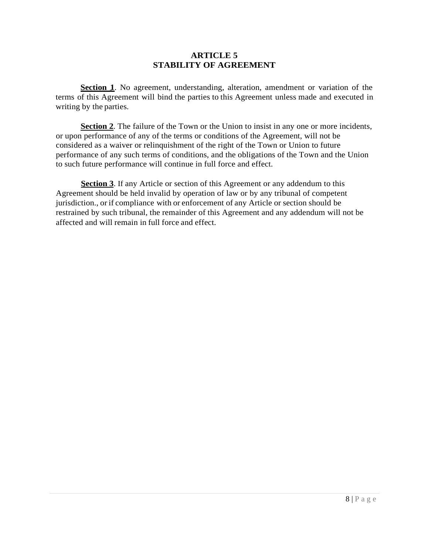#### **ARTICLE 5 STABILITY OF AGREEMENT**

<span id="page-7-0"></span>**Section 1**. No agreement, understanding, alteration, amendment or variation of the terms of this Agreement will bind the parties to this Agreement unless made and executed in writing by the parties.

**Section 2**. The failure of the Town or the Union to insist in any one or more incidents, or upon performance of any of the terms or conditions of the Agreement, will not be considered as a waiver or relinquishment of the right of the Town or Union to future performance of any such terms of conditions, and the obligations of the Town and the Union to such future performance will continue in full force and effect.

**Section 3**. If any Article or section of this Agreement or any addendum to this Agreement should be held invalid by operation of law or by any tribunal of competent jurisdiction., or if compliance with or enforcement of any Article or section should be restrained by such tribunal, the remainder of this Agreement and any addendum will not be affected and will remain in full force and effect.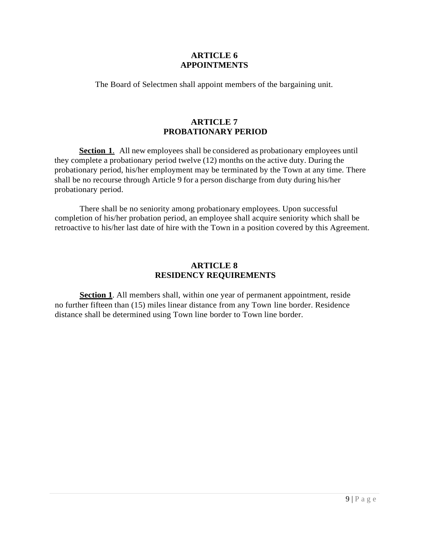#### **ARTICLE 6 APPOINTMENTS**

<span id="page-8-0"></span>The Board of Selectmen shall appoint members of the bargaining unit.

#### **ARTICLE 7 PROBATIONARY PERIOD**

<span id="page-8-1"></span>**Section 1**. All new employees shall be considered as probationary employees until they complete a probationary period twelve (12) months on the active duty. During the probationary period, his/her employment may be terminated by the Town at any time. There shall be no recourse through Article 9 for a person discharge from duty during his/her probationary period.

There shall be no seniority among probationary employees. Upon successful completion of his/her probation period, an employee shall acquire seniority which shall be retroactive to his/her last date of hire with the Town in a position covered by this Agreement.

#### **ARTICLE 8 RESIDENCY REQUIREMENTS**

<span id="page-8-2"></span>**Section 1**. All members shall, within one year of permanent appointment, reside no further fifteen than (15) miles linear distance from any Town line border. Residence distance shall be determined using Town line border to Town line border.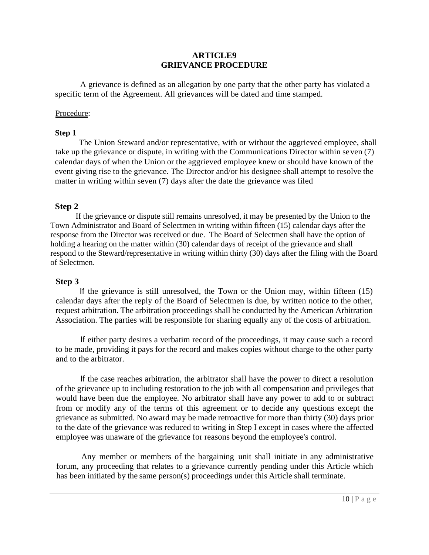#### **ARTICLE9 GRIEVANCE PROCEDURE**

<span id="page-9-0"></span>A grievance is defined as an allegation by one party that the other party has violated a specific term of the Agreement. All grievances will be dated and time stamped.

#### Procedure:

#### **Step 1**

The Union Steward and/or representative, with or without the aggrieved employee, shall take up the grievance or dispute, in writing with the Communications Director within seven (7) calendar days of when the Union or the aggrieved employee knew or should have known of the event giving rise to the grievance. The Director and/or his designee shall attempt to resolve the matter in writing within seven (7) days after the date the grievance was filed

#### **Step 2**

If the grievance or dispute still remains unresolved, it may be presented by the Union to the Town Administrator and Board of Selectmen in writing within fifteen (15) calendar days after the response from the Director was received or due. The Board of Selectmen shall have the option of holding a hearing on the matter within (30) calendar days of receipt of the grievance and shall respond to the Steward/representative in writing within thirty (30) days after the filing with the Board of Selectmen.

#### **Step 3**

If the grievance is still unresolved, the Town or the Union may, within fifteen (15) calendar days after the reply of the Board of Selectmen is due, by written notice to the other, request arbitration. The arbitration proceedings shall be conducted by the American Arbitration Association. The parties will be responsible for sharing equally any of the costs of arbitration.

If either party desires a verbatim record of the proceedings, it may cause such a record to be made, providing it pays for the record and makes copies without charge to the other party and to the arbitrator.

If the case reaches arbitration, the arbitrator shall have the power to direct a resolution of the grievance up to including restoration to the job with all compensation and privileges that would have been due the employee. No arbitrator shall have any power to add to or subtract from or modify any of the terms of this agreement or to decide any questions except the grievance as submitted. No award may be made retroactive for more than thirty (30) days prior to the date of the grievance was reduced to writing in Step I except in cases where the affected employee was unaware of the grievance for reasons beyond the employee's control.

Any member or members of the bargaining unit shall initiate in any administrative forum, any proceeding that relates to a grievance currently pending under this Article which has been initiated by the same person(s) proceedings under this Article shall terminate.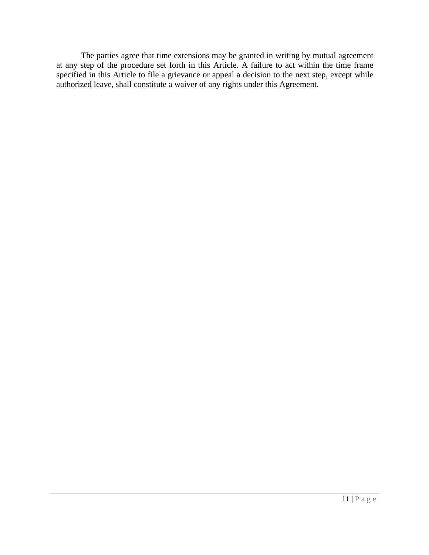The parties agree that time extensions may be granted in writing by mutual agreement at any step of the procedure set forth in this Article. A failure to act within the time frame specified in this Article to file a grievance or appeal a decision to the next step, except while authorized leave, shall constitute a waiver of any rights under this Agreement.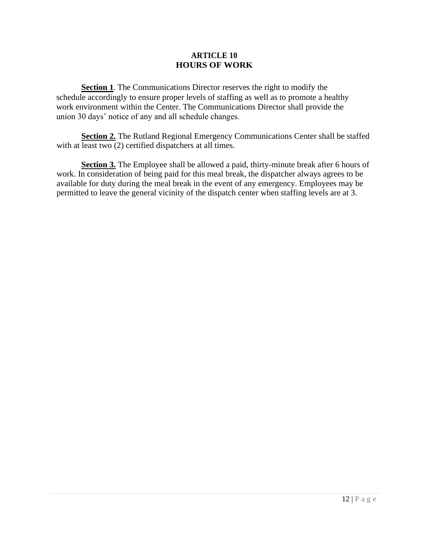#### **ARTICLE 10 HOURS OF WORK**

<span id="page-11-0"></span>**Section 1**. The Communications Director reserves the right to modify the schedule accordingly to ensure proper levels of staffing as well as to promote a healthy work environment within the Center. The Communications Director shall provide the union 30 days' notice of any and all schedule changes.

**Section 2.** The Rutland Regional Emergency Communications Center shall be staffed with at least two  $(2)$  certified dispatchers at all times.

**Section 3.** The Employee shall be allowed a paid, thirty-minute break after 6 hours of work. In consideration of being paid for this meal break, the dispatcher always agrees to be available for duty during the meal break in the event of any emergency. Employees may be permitted to leave the general vicinity of the dispatch center when staffing levels are at 3.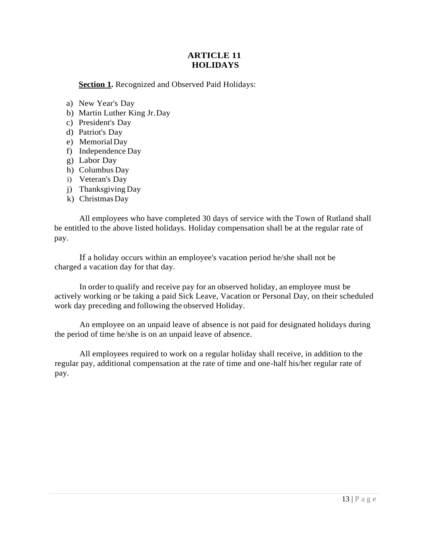#### **ARTICLE 11 HOLIDAYS**

<span id="page-12-0"></span>**Section 1.** Recognized and Observed Paid Holidays:

- a) New Year's Day
- b) Martin Luther King Jr.Day
- c) President's Day
- d) Patriot's Day
- e) MemorialDay
- f) Independence Day
- g) Labor Day
- h) Columbus Day
- i) Veteran's Day
- j) Thanksgiving Day
- k) Christmas Day

All employees who have completed 30 days of service with the Town of Rutland shall be entitled to the above listed holidays. Holiday compensation shall be at the regular rate of pay.

If a holiday occurs within an employee's vacation period he/she shall not be charged a vacation day for that day.

In order to qualify and receive pay for an observed holiday, an employee must be actively working or be taking a paid Sick Leave, Vacation or Personal Day, on their scheduled work day preceding and following the observed Holiday.

An employee on an unpaid leave of absence is not paid for designated holidays during the period of time he/she is on an unpaid leave of absence.

All employees required to work on a regular holiday shall receive, in addition to the regular pay, additional compensation at the rate of time and one-half his/her regular rate of pay.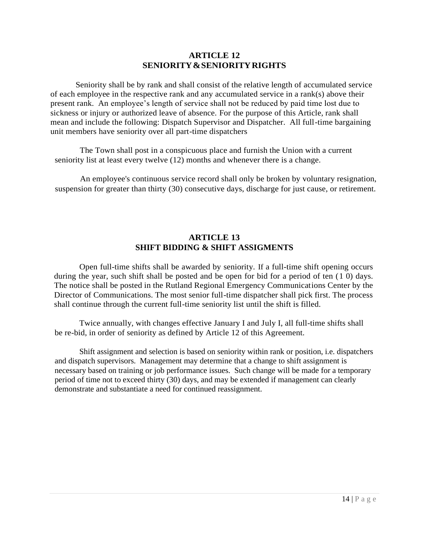#### **ARTICLE 12 SENIORITY&SENIORITYRIGHTS**

<span id="page-13-0"></span>Seniority shall be by rank and shall consist of the relative length of accumulated service of each employee in the respective rank and any accumulated service in a rank(s) above their present rank. An employee's length of service shall not be reduced by paid time lost due to sickness or injury or authorized leave of absence. For the purpose of this Article, rank shall mean and include the following: Dispatch Supervisor and Dispatcher. All full-time bargaining unit members have seniority over all part-time dispatchers

The Town shall post in a conspicuous place and furnish the Union with a current seniority list at least every twelve (12) months and whenever there is a change.

An employee's continuous service record shall only be broken by voluntary resignation, suspension for greater than thirty (30) consecutive days, discharge for just cause, or retirement.

#### **ARTICLE 13 SHIFT BIDDING & SHIFT ASSIGMENTS**

<span id="page-13-1"></span>Open full-time shifts shall be awarded by seniority. If a full-time shift opening occurs during the year, such shift shall be posted and be open for bid for a period of ten  $(1\ 0)$  days. The notice shall be posted in the Rutland Regional Emergency Communications Center by the Director of Communications. The most senior full-time dispatcher shall pick first. The process shall continue through the current full-time seniority list until the shift is filled.

Twice annually, with changes effective January I and July I, all full-time shifts shall be re-bid, in order of seniority as defined by Article 12 of this Agreement.

Shift assignment and selection is based on seniority within rank or position, i.e. dispatchers and dispatch supervisors. Management may determine that a change to shift assignment is necessary based on training or job performance issues. Such change will be made for a temporary period of time not to exceed thirty (30) days, and may be extended if management can clearly demonstrate and substantiate a need for continued reassignment.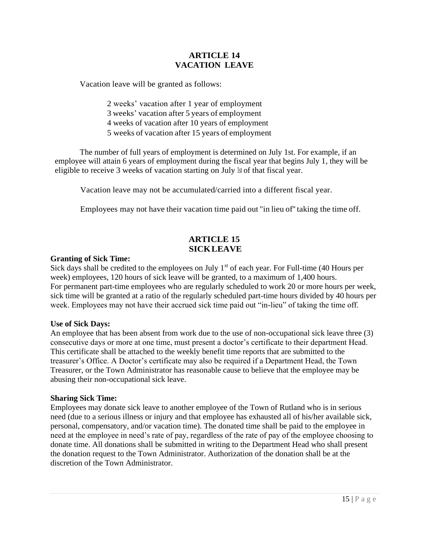#### **ARTICLE 14 VACATION LEAVE**

<span id="page-14-0"></span>Vacation leave will be granted as follows:

2 weeks' vacation after 1 year of employment 3 weeks' vacation after 5 years of employment 4 weeks of vacation after 10 years of employment 5 weeks of vacation after 15 years of employment

The number of full years of employment is determined on July 1st. For example, if an employee will attain 6 years of employment during the fiscal year that begins July 1, they will be eligible to receive 3 weeks of vacation starting on July 1st of that fiscal year.

Vacation leave may not be accumulated/carried into a different fiscal year.

Employees may not have their vacation time paid out "in lieu of'' taking the time off.

#### **ARTICLE 15 SICKLEAVE**

#### <span id="page-14-1"></span>**Granting of Sick Time:**

Sick days shall be credited to the employees on July  $1<sup>st</sup>$  of each year. For Full-time (40 Hours per week) employees, 120 hours of sick leave will be granted, to a maximum of 1,400 hours. For permanent part-time employees who are regularly scheduled to work 20 or more hours per week, sick time will be granted at a ratio of the regularly scheduled part-time hours divided by 40 hours per week. Employees may not have their accrued sick time paid out "in-lieu" of taking the time off.

#### **Use of Sick Days:**

An employee that has been absent from work due to the use of non-occupational sick leave three (3) consecutive days or more at one time, must present a doctor's certificate to their department Head. This certificate shall be attached to the weekly benefit time reports that are submitted to the treasurer's Office. A Doctor's certificate may also be required if a Department Head, the Town Treasurer, or the Town Administrator has reasonable cause to believe that the employee may be abusing their non-occupational sick leave.

#### **Sharing Sick Time:**

Employees may donate sick leave to another employee of the Town of Rutland who is in serious need (due to a serious illness or injury and that employee has exhausted all of his/her available sick, personal, compensatory, and/or vacation time). The donated time shall be paid to the employee in need at the employee in need's rate of pay, regardless of the rate of pay of the employee choosing to donate time. All donations shall be submitted in writing to the Department Head who shall present the donation request to the Town Administrator. Authorization of the donation shall be at the discretion of the Town Administrator.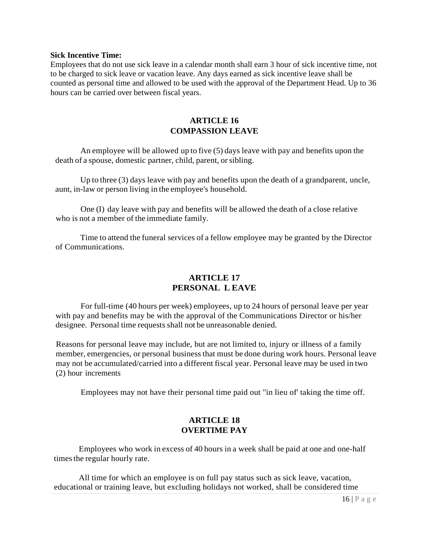#### **Sick Incentive Time:**

Employees that do not use sick leave in a calendar month shall earn 3 hour of sick incentive time, not to be charged to sick leave or vacation leave. Any days earned as sick incentive leave shall be counted as personal time and allowed to be used with the approval of the Department Head. Up to 36 hours can be carried over between fiscal years.

#### **ARTICLE 16 COMPASSION LEAVE**

An employee will be allowed up to five (5) days leave with pay and benefits upon the death of a spouse, domestic partner, child, parent, or sibling.

Up to three (3) days leave with pay and benefits upon the death of a grandparent, uncle, aunt, in-law or person living in the employee's household.

One (I) day leave with pay and benefits will be allowed the death of a close relative who is not a member of the immediate family.

Time to attend the funeral services of a fellow employee may be granted by the Director of Communications.

#### **ARTICLE 17 PERSONAL L EAVE**

<span id="page-15-0"></span>For full-time (40 hours per week) employees, up to 24 hours of personal leave per year with pay and benefits may be with the approval of the Communications Director or his/her designee. Personal time requests shall not be unreasonable denied.

Reasons for personal leave may include, but are not limited to, injury or illness of a family member, emergencies, or personal business that must be done during work hours. Personal leave may not be accumulated/carried into a different fiscal year. Personal leave may be used in two (2) hour increments

Employees may not have their personal time paid out "in lieu of' taking the time off.

#### **ARTICLE 18 OVERTIME PAY**

<span id="page-15-1"></span>Employees who work in excess of 40 hours in a week shall be paid at one and one-half times the regular hourly rate.

All time for which an employee is on full pay status such as sick leave, vacation, educational or training leave, but excluding holidays not worked, shall be considered time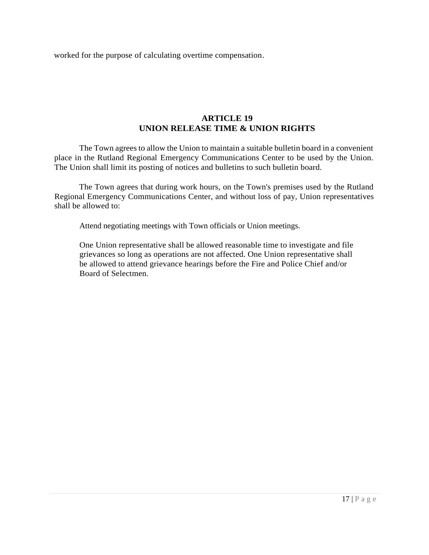worked for the purpose of calculating overtime compensation.

#### **ARTICLE 19 UNION RELEASE TIME & UNION RIGHTS**

<span id="page-16-0"></span>The Town agrees to allow the Union to maintain a suitable bulletin board in a convenient place in the Rutland Regional Emergency Communications Center to be used by the Union. The Union shall limit its posting of notices and bulletins to such bulletin board.

The Town agrees that during work hours, on the Town's premises used by the Rutland Regional Emergency Communications Center, and without loss of pay, Union representatives shall be allowed to:

Attend negotiating meetings with Town officials or Union meetings.

One Union representative shall be allowed reasonable time to investigate and file grievances so long as operations are not affected. One Union representative shall be allowed to attend grievance hearings before the Fire and Police Chief and/or Board of Selectmen.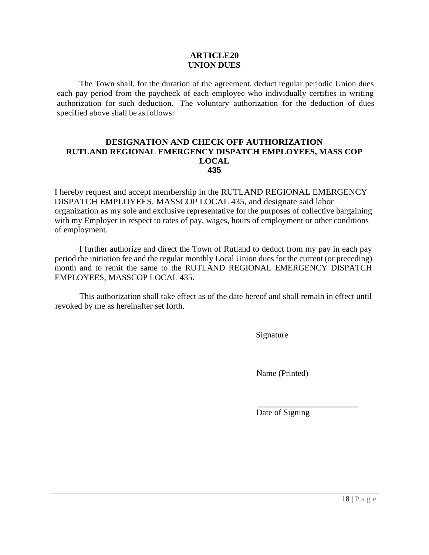#### **ARTICLE20 UNION DUES**

<span id="page-17-0"></span>The Town shall, for the duration of the agreement, deduct regular periodic Union dues each pay period from the paycheck of each employee who individually certifies in writing authorization for such deduction. The voluntary authorization for the deduction of dues specified above shall be as follows:

#### **DESIGNATION AND CHECK OFF AUTHORIZATION RUTLAND REGIONAL EMERGENCY DISPATCH EMPLOYEES, MASS COP LOCAL 435**

I hereby request and accept membership in the RUTLAND REGIONAL EMERGENCY DISPATCH EMPLOYEES, MASSCOP LOCAL 435, and designate said labor organization as my sole and exclusive representative for the purposes of collective bargaining with my Employer in respect to rates of pay, wages, hours of employment or other conditions of employment.

I further authorize and direct the Town of Rutland to deduct from my pay in each pay period the initiation fee and the regular monthly Local Union dues for the current (or preceding) month and to remit the same to the RUTLAND REGIONAL EMERGENCY DISPATCH EMPLOYEES, MASSCOP LOCAL 435.

This authorization shall take effect as of the date hereof and shall remain in effect until revoked by me as hereinafter set forth.

Signature

Name (Printed)

Date of Signing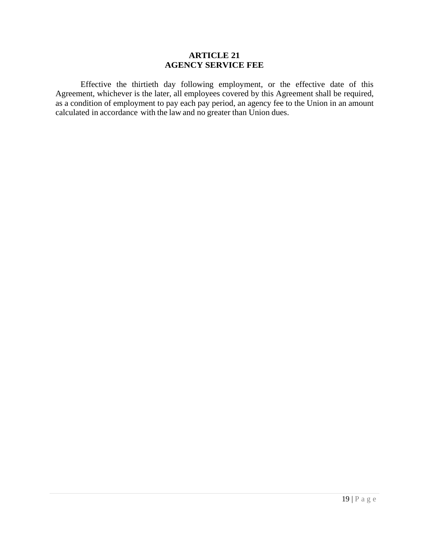#### **ARTICLE 21 AGENCY SERVICE FEE**

<span id="page-18-0"></span>Effective the thirtieth day following employment, or the effective date of this Agreement, whichever is the later, all employees covered by this Agreement shall be required, as a condition of employment to pay each pay period, an agency fee to the Union in an amount calculated in accordance with the law and no greater than Union dues.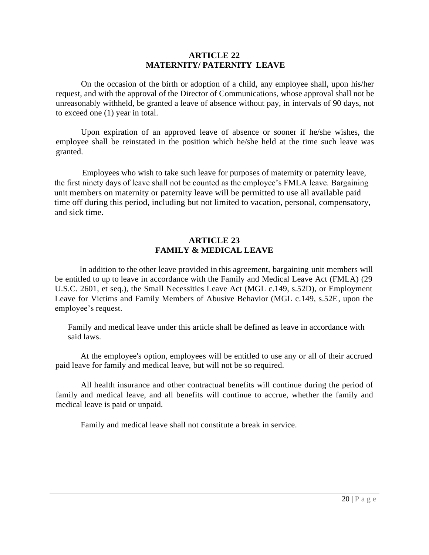#### **ARTICLE 22 MATERNITY/ PATERNITY LEAVE**

<span id="page-19-0"></span>On the occasion of the birth or adoption of a child, any employee shall, upon his/her request, and with the approval of the Director of Communications, whose approval shall not be unreasonably withheld, be granted a leave of absence without pay, in intervals of 90 days, not to exceed one (1) year in total.

Upon expiration of an approved leave of absence or sooner if he/she wishes, the employee shall be reinstated in the position which he/she held at the time such leave was granted.

Employees who wish to take such leave for purposes of maternity or paternity leave, the first ninety days of leave shall not be counted as the employee's FMLA leave. Bargaining unit members on maternity or paternity leave will be permitted to use all available paid time off during this period, including but not limited to vacation, personal, compensatory, and sick time.

#### **ARTICLE 23 FAMILY & MEDICAL LEAVE**

<span id="page-19-1"></span>In addition to the other leave provided in this agreement, bargaining unit members will be entitled to up to leave in accordance with the Family and Medical Leave Act (FMLA) (29 U.S.C. 2601, et seq.), the Small Necessities Leave Act (MGL c.149, s.52D), or Employment Leave for Victims and Family Members of Abusive Behavior (MGL c.149, s.52E, upon the employee's request.

Family and medical leave under this article shall be defined as leave in accordance with said laws.

At the employee's option, employees will be entitled to use any or all of their accrued paid leave for family and medical leave, but will not be so required.

All health insurance and other contractual benefits will continue during the period of family and medical leave, and all benefits will continue to accrue, whether the family and medical leave is paid or unpaid.

Family and medical leave shall not constitute a break in service.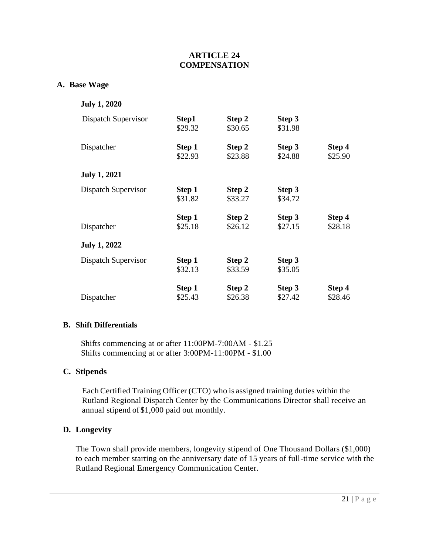#### **ARTICLE 24 COMPENSATION**

#### <span id="page-20-0"></span>**A. Base Wage**

|  | <b>July 1, 2020</b> |
|--|---------------------|
|  |                     |

| Dispatch Supervisor | Step1<br>\$29.32  | Step 2<br>\$30.65 | Step 3<br>\$31.98 |                   |
|---------------------|-------------------|-------------------|-------------------|-------------------|
| Dispatcher          | Step 1<br>\$22.93 | Step 2<br>\$23.88 | Step 3<br>\$24.88 | Step 4<br>\$25.90 |
| <b>July 1, 2021</b> |                   |                   |                   |                   |
| Dispatch Supervisor | Step 1<br>\$31.82 | Step 2<br>\$33.27 | Step 3<br>\$34.72 |                   |
| Dispatcher          | Step 1<br>\$25.18 | Step 2<br>\$26.12 | Step 3<br>\$27.15 | Step 4<br>\$28.18 |
| <b>July 1, 2022</b> |                   |                   |                   |                   |
| Dispatch Supervisor | Step 1<br>\$32.13 | Step 2<br>\$33.59 | Step 3<br>\$35.05 |                   |
| Dispatcher          | Step 1<br>\$25.43 | Step 2<br>\$26.38 | Step 3<br>\$27.42 | Step 4<br>\$28.46 |

#### **B. Shift Differentials**

Shifts commencing at or after 11:00PM-7:00AM - \$1.25 Shifts commencing at or after 3:00PM-11:00PM - \$1.00

#### **C. Stipends**

Each Certified Training Officer (CTO) who is assigned training duties within the Rutland Regional Dispatch Center by the Communications Director shall receive an annual stipend of \$1,000 paid out monthly.

#### **D. Longevity**

The Town shall provide members, longevity stipend of One Thousand Dollars (\$1,000) to each member starting on the anniversary date of 15 years of full-time service with the Rutland Regional Emergency Communication Center.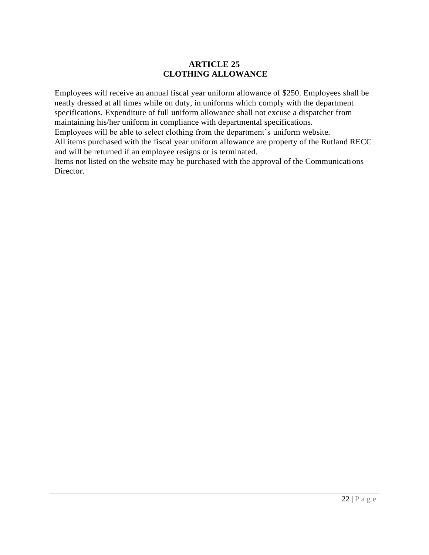#### **ARTICLE 25 CLOTHING ALLOWANCE**

<span id="page-21-0"></span>Employees will receive an annual fiscal year uniform allowance of \$250. Employees shall be neatly dressed at all times while on duty, in uniforms which comply with the department specifications. Expenditure of full uniform allowance shall not excuse a dispatcher from maintaining his/her uniform in compliance with departmental specifications.

Employees will be able to select clothing from the department's uniform website.

All items purchased with the fiscal year uniform allowance are property of the Rutland RECC and will be returned if an employee resigns or is terminated.

Items not listed on the website may be purchased with the approval of the Communications Director.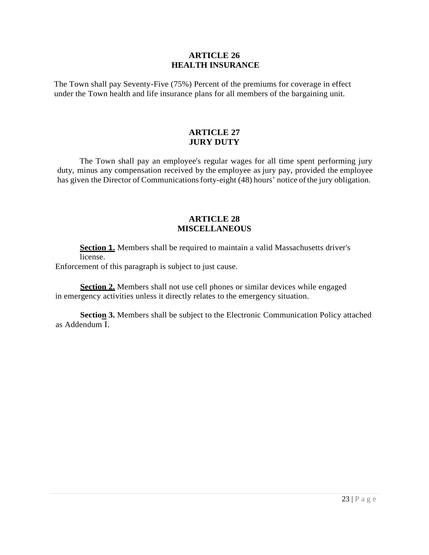#### **ARTICLE 26 HEALTH INSURANCE**

<span id="page-22-0"></span>The Town shall pay Seventy-Five (75%) Percent of the premiums for coverage in effect under the Town health and life insurance plans for all members of the bargaining unit.

#### **ARTICLE 27 JURY DUTY**

<span id="page-22-1"></span>The Town shall pay an employee's regular wages for all time spent performing jury duty, minus any compensation received by the employee as jury pay, provided the employee has given the Director of Communications forty-eight (48) hours' notice of the jury obligation.

#### **ARTICLE 28 MISCELLANEOUS**

<span id="page-22-2"></span>**Section 1.** Members shall be required to maintain a valid Massachusetts driver's license.

Enforcement of this paragraph is subject to just cause.

**Section 2.** Members shall not use cell phones or similar devices while engaged in emergency activities unless it directly relates to the emergency situation.

**Section 3.** Members shall be subject to the Electronic Communication Policy attached as Addendum I.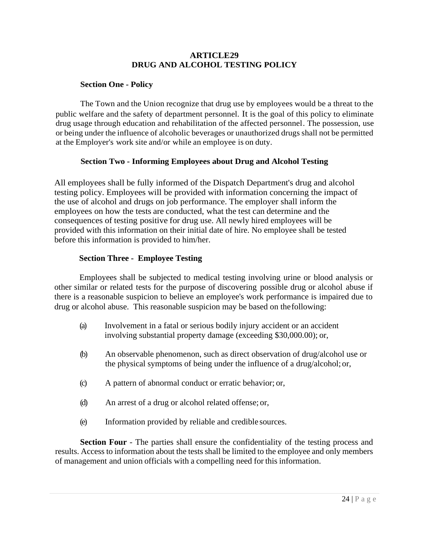#### **ARTICLE29 DRUG AND ALCOHOL TESTING POLICY**

#### <span id="page-23-0"></span>**Section One - Policy**

The Town and the Union recognize that drug use by employees would be a threat to the public welfare and the safety of department personnel. It is the goal of this policy to eliminate drug usage through education and rehabilitation of the affected personnel. The possession, use or being under the influence of alcoholic beverages or unauthorized drugs shall not be permitted at the Employer's work site and/or while an employee is on duty.

#### **Section Two - Informing Employees about Drug and Alcohol Testing**

All employees shall be fully informed of the Dispatch Department's drug and alcohol testing policy. Employees will be provided with information concerning the impact of the use of alcohol and drugs on job performance. The employer shall inform the employees on how the tests are conducted, what the test can determine and the consequences of testing positive for drug use. All newly hired employees will be provided with this information on their initial date of hire. No employee shall be tested before this information is provided to him/her.

#### **Section Three - Employee Testing**

Employees shall be subjected to medical testing involving urine or blood analysis or other similar or related tests for the purpose of discovering possible drug or alcohol abuse if there is a reasonable suspicion to believe an employee's work performance is impaired due to drug or alcohol abuse. This reasonable suspicion may be based on thefollowing:

- (a) Involvement in a fatal or serious bodily injury accident or an accident involving substantial property damage (exceeding \$30,000.00); or,
- (b) An observable phenomenon, such as direct observation of drug/alcohol use or the physical symptoms of being under the influence of a drug/alcohol; or,
- (c) A pattern of abnormal conduct or erratic behavior; or,
- (d) An arrest of a drug or alcohol related offense; or,
- (e) Information provided by reliable and credible sources.

**Section Four** - The parties shall ensure the confidentiality of the testing process and results. Access to information about the tests shall be limited to the employee and only members of management and union officials with a compelling need for this information.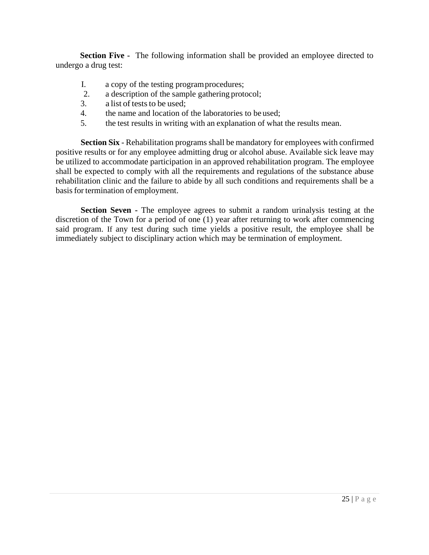**Section Five -** The following information shall be provided an employee directed to undergo a drug test:

- I. a copy of the testing programprocedures;
- 2. a description of the sample gathering protocol;
- 3. a list of tests to be used:
- 4. the name and location of the laboratories to be used;
- 5. the test results in writing with an explanation of what the results mean.

**Section Six** - Rehabilitation programs shall be mandatory for employees with confirmed positive results or for any employee admitting drug or alcohol abuse. Available sick leave may be utilized to accommodate participation in an approved rehabilitation program. The employee shall be expected to comply with all the requirements and regulations of the substance abuse rehabilitation clinic and the failure to abide by all such conditions and requirements shall be a basis for termination of employment.

**Section Seven -** The employee agrees to submit a random urinalysis testing at the discretion of the Town for a period of one (1) year after returning to work after commencing said program. If any test during such time yields a positive result, the employee shall be immediately subject to disciplinary action which may be termination of employment.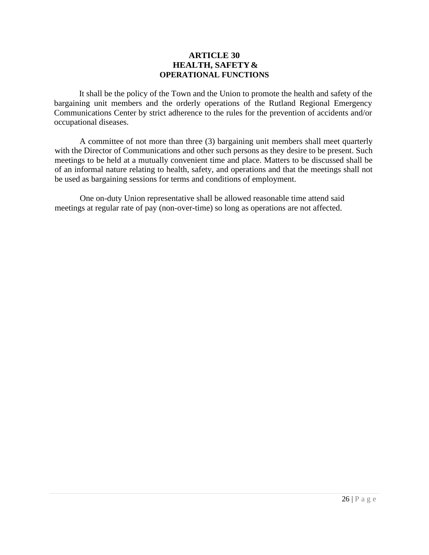#### **ARTICLE 30 HEALTH, SAFETY& OPERATIONAL FUNCTIONS**

<span id="page-25-0"></span>It shall be the policy of the Town and the Union to promote the health and safety of the bargaining unit members and the orderly operations of the Rutland Regional Emergency Communications Center by strict adherence to the rules for the prevention of accidents and/or occupational diseases.

A committee of not more than three (3) bargaining unit members shall meet quarterly with the Director of Communications and other such persons as they desire to be present. Such meetings to be held at a mutually convenient time and place. Matters to be discussed shall be of an informal nature relating to health, safety, and operations and that the meetings shall not be used as bargaining sessions for terms and conditions of employment.

One on-duty Union representative shall be allowed reasonable time attend said meetings at regular rate of pay (non-over-time) so long as operations are not affected.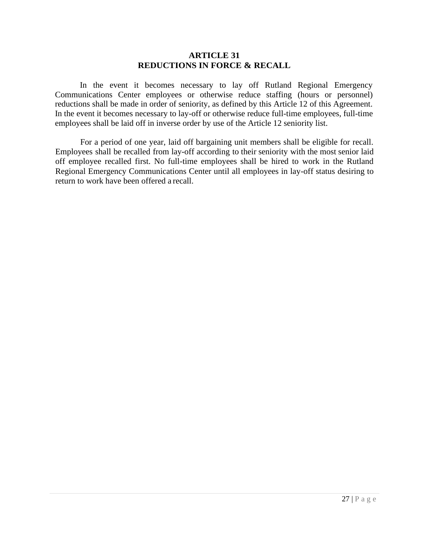#### **ARTICLE 31 REDUCTIONS IN FORCE & RECALL**

<span id="page-26-0"></span>In the event it becomes necessary to lay off Rutland Regional Emergency Communications Center employees or otherwise reduce staffing (hours or personnel) reductions shall be made in order of seniority, as defined by this Article 12 of this Agreement. In the event it becomes necessary to lay-off or otherwise reduce full-time employees, full-time employees shall be laid off in inverse order by use of the Article 12 seniority list.

For a period of one year, laid off bargaining unit members shall be eligible for recall. Employees shall be recalled from lay-off according to their seniority with the most senior laid off employee recalled first. No full-time employees shall be hired to work in the Rutland Regional Emergency Communications Center until all employees in lay-off status desiring to return to work have been offered a recall.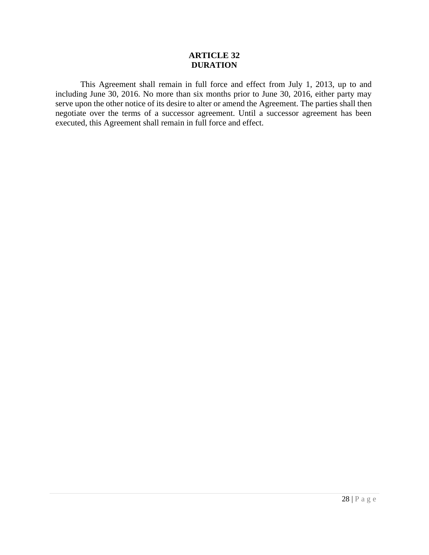#### **ARTICLE 32 DURATION**

<span id="page-27-0"></span>This Agreement shall remain in full force and effect from July 1, 2013, up to and including June 30, 2016. No more than six months prior to June 30, 2016, either party may serve upon the other notice of its desire to alter or amend the Agreement. The parties shall then negotiate over the terms of a successor agreement. Until a successor agreement has been executed, this Agreement shall remain in full force and effect.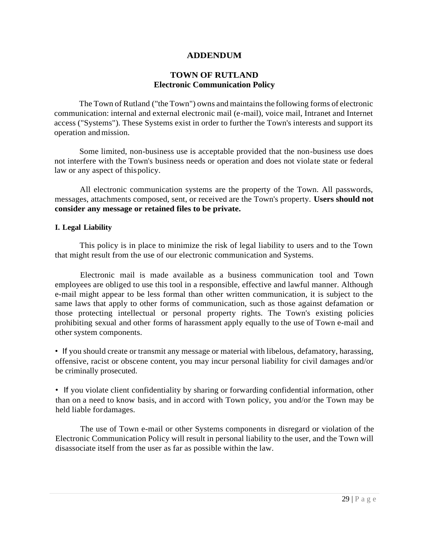#### **ADDENDUM**

#### **TOWN OF RUTLAND Electronic Communication Policy**

<span id="page-28-0"></span>The Town of Rutland ("the Town") owns and maintains the following forms of electronic communication: internal and external electronic mail (e-mail), voice mail, Intranet and Internet access ("Systems"). These Systems exist in order to further the Town's interests and support its operation andmission.

Some limited, non-business use is acceptable provided that the non-business use does not interfere with the Town's business needs or operation and does not violate state or federal law or any aspect of thispolicy.

All electronic communication systems are the property of the Town. All passwords, messages, attachments composed, sent, or received are the Town's property. **Users should not consider any message or retained files to be private.**

#### **I. Legal Liability**

This policy is in place to minimize the risk of legal liability to users and to the Town that might result from the use of our electronic communication and Systems.

Electronic mail is made available as a business communication tool and Town employees are obliged to use this tool in a responsible, effective and lawful manner. Although e-mail might appear to be less formal than other written communication, it is subject to the same laws that apply to other forms of communication, such as those against defamation or those protecting intellectual or personal property rights. The Town's existing policies prohibiting sexual and other forms of harassment apply equally to the use of Town e-mail and other system components.

• If you should create or transmit any message or material with libelous, defamatory, harassing, offensive, racist or obscene content, you may incur personal liability for civil damages and/or be criminally prosecuted.

• If you violate client confidentiality by sharing or forwarding confidential information, other than on a need to know basis, and in accord with Town policy, you and/or the Town may be held liable fordamages.

The use of Town e-mail or other Systems components in disregard or violation of the Electronic Communication Policy will result in personal liability to the user, and the Town will disassociate itself from the user as far as possible within the law.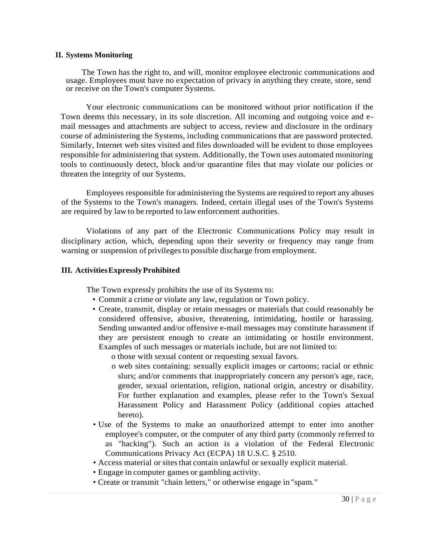#### **II. Systems Monitoring**

The Town has the right to, and will, monitor employee electronic communications and usage. Employees must have no expectation of privacy in anything they create, store, send or receive on the Town's computer Systems.

Your electronic communications can be monitored without prior notification if the Town deems this necessary, in its sole discretion. All incoming and outgoing voice and email messages and attachments are subject to access, review and disclosure in the ordinary course of administering the Systems, including communications that are password protected. Similarly, Internet web sites visited and files downloaded will be evident to those employees responsible for administering that system. Additionally, the Town uses automated monitoring tools to continuously detect, block and/or quarantine files that may violate our policies or threaten the integrity of our Systems.

Employees responsible for administering the Systems are required to report any abuses of the Systems to the Town's managers. Indeed, certain illegal uses of the Town's Systems are required by law to be reported to law enforcement authorities.

Violations of any part of the Electronic Communications Policy may result in disciplinary action, which, depending upon their severity or frequency may range from warning or suspension of privileges to possible discharge from employment.

#### **III. ActivitiesExpresslyProhibited**

The Town expressly prohibits the use of its Systems to:

- Commit a crime or violate any law, regulation or Town policy.
- Create, transmit, display or retain messages or materials that could reasonably be considered offensive, abusive, threatening, intimidating, hostile or harassing. Sending unwanted and/or offensive e-mail messages may constitute harassment if they are persistent enough to create an intimidating or hostile environment. Examples of such messages or materials include, but are not limited to:
	- o those with sexual content or requesting sexual favors.
	- o web sites containing: sexually explicit images or cartoons; racial or ethnic slurs; and/or comments that inappropriately concern any person's age, race, gender, sexual orientation, religion, national origin, ancestry or disability. For further explanation and examples, please refer to the Town's Sexual Harassment Policy and Harassment Policy (additional copies attached hereto).
- Use of the Systems to make an unauthorized attempt to enter into another employee's computer, or the computer of any third party (commonly referred to as "hacking"). Such an action is a violation of the Federal Electronic Communications Privacy Act (ECPA) 18 U.S.C. § 2510.
- Access material or sites that contain unlawful or sexually explicit material.
- Engage in computer games or gambling activity.
- Create or transmit "chain letters," or otherwise engage in "spam."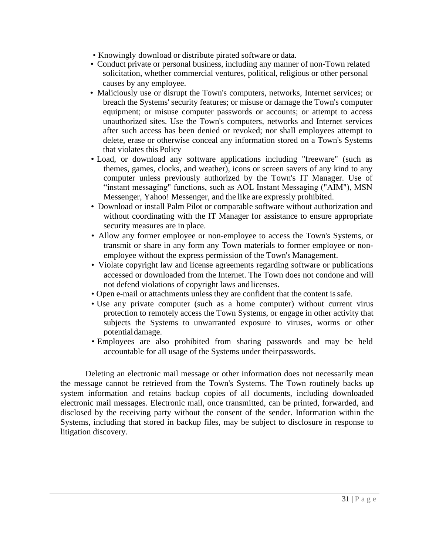- Knowingly download or distribute pirated software or data.
- Conduct private or personal business, including any manner of non-Town related solicitation, whether commercial ventures, political, religious or other personal causes by any employee.
- Maliciously use or disrupt the Town's computers, networks, Internet services; or breach the Systems' security features; or misuse or damage the Town's computer equipment; or misuse computer passwords or accounts; or attempt to access unauthorized sites. Use the Town's computers, networks and Internet services after such access has been denied or revoked; nor shall employees attempt to delete, erase or otherwise conceal any information stored on a Town's Systems that violates this Policy
- Load, or download any software applications including "freeware" (such as themes, games, clocks, and weather), icons or screen savers of any kind to any computer unless previously authorized by the Town's IT Manager. Use of "instant messaging" functions, such as AOL Instant Messaging ("AIM"), MSN Messenger, Yahoo! Messenger, and the like are expressly prohibited.
- Download or install Palm Pilot or comparable software without authorization and without coordinating with the IT Manager for assistance to ensure appropriate security measures are in place.
- Allow any former employee or non-employee to access the Town's Systems, or transmit or share in any form any Town materials to former employee or nonemployee without the express permission of the Town's Management.
- Violate copyright law and license agreements regarding software or publications accessed or downloaded from the Internet. The Town does not condone and will not defend violations of copyright laws and licenses.
- Open e-mail or attachments unless they are confident that the content issafe.
- Use any private computer (such as a home computer) without current virus protection to remotely access the Town Systems, or engage in other activity that subjects the Systems to unwarranted exposure to viruses, worms or other potentialdamage.
- Employees are also prohibited from sharing passwords and may be held accountable for all usage of the Systems under theirpasswords.

Deleting an electronic mail message or other information does not necessarily mean the message cannot be retrieved from the Town's Systems. The Town routinely backs up system information and retains backup copies of all documents, including downloaded electronic mail messages. Electronic mail, once transmitted, can be printed, forwarded, and disclosed by the receiving party without the consent of the sender. Information within the Systems, including that stored in backup files, may be subject to disclosure in response to litigation discovery.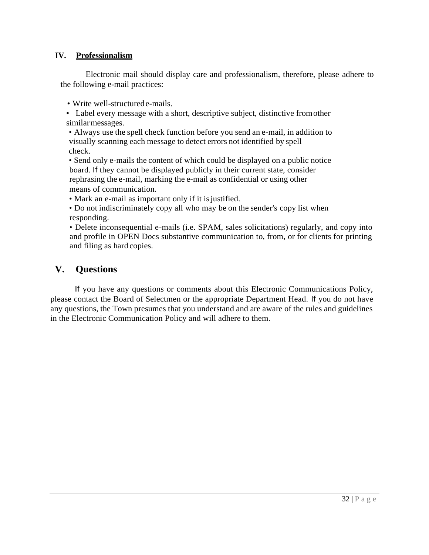#### **IV. Professionalism**

Electronic mail should display care and professionalism, therefore, please adhere to the following e-mail practices:

• Write well-structured e-mails.

• Label every message with a short, descriptive subject, distinctive fromother similarmessages.

• Always use the spell check function before you send an e-mail, in addition to visually scanning each message to detect errors not identified by spell check.

• Send only e-mails the content of which could be displayed on a public notice board. If they cannot be displayed publicly in their current state, consider rephrasing the e-mail, marking the e-mail as confidential or using other means of communication.

- Mark an e-mail as important only if it is justified.
- Do not indiscriminately copy all who may be on the sender's copy list when responding.

• Delete inconsequential e-mails (i.e. SPAM, sales solicitations) regularly, and copy into and profile in OPEN Docs substantive communication to, from, or for clients for printing and filing as hard copies.

### **V. Questions**

If you have any questions or comments about this Electronic Communications Policy, please contact the Board of Selectmen or the appropriate Department Head. If you do not have any questions, the Town presumes that you understand and are aware of the rules and guidelines in the Electronic Communication Policy and will adhere to them.